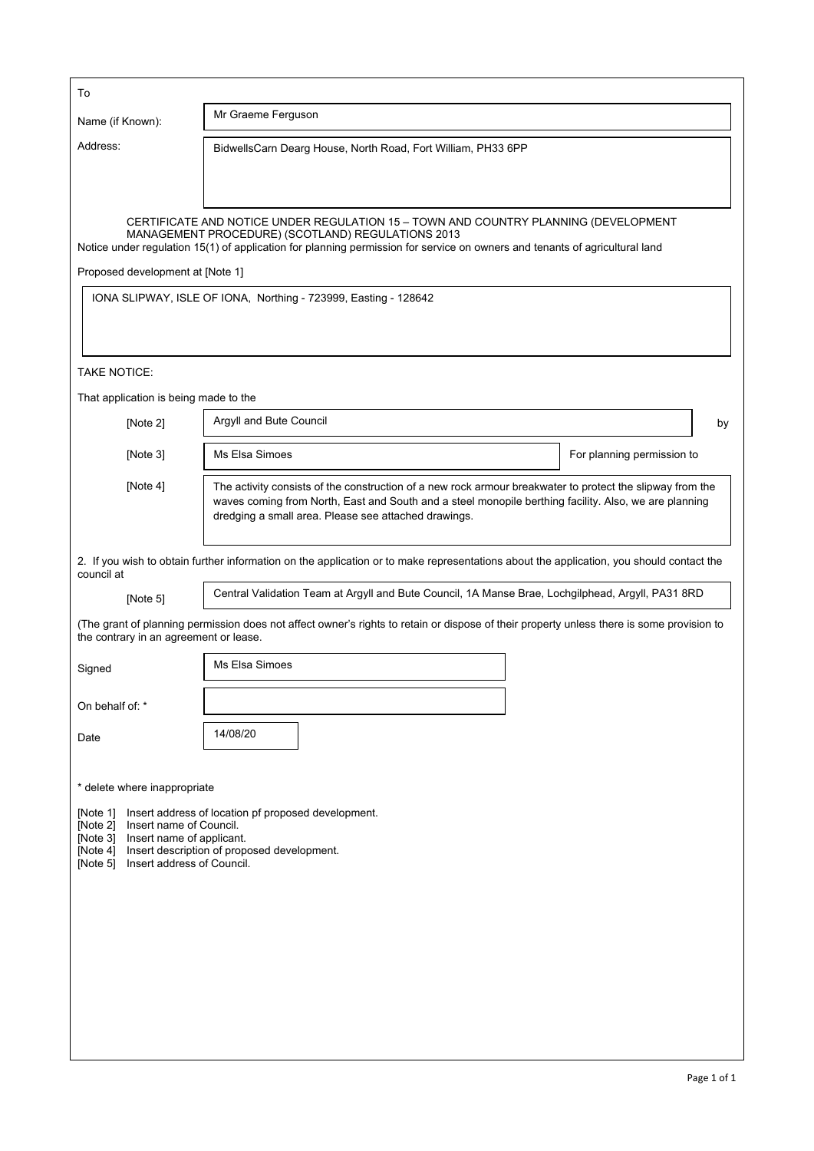| To                                                                                                                                                                                                                                                            |                                                                                                                                                                                                                                                                            |                            |  |  |
|---------------------------------------------------------------------------------------------------------------------------------------------------------------------------------------------------------------------------------------------------------------|----------------------------------------------------------------------------------------------------------------------------------------------------------------------------------------------------------------------------------------------------------------------------|----------------------------|--|--|
| Name (if Known):                                                                                                                                                                                                                                              | Mr Graeme Ferguson                                                                                                                                                                                                                                                         |                            |  |  |
| Address:                                                                                                                                                                                                                                                      | BidwellsCarn Dearg House, North Road, Fort William, PH33 6PP                                                                                                                                                                                                               |                            |  |  |
|                                                                                                                                                                                                                                                               |                                                                                                                                                                                                                                                                            |                            |  |  |
|                                                                                                                                                                                                                                                               |                                                                                                                                                                                                                                                                            |                            |  |  |
|                                                                                                                                                                                                                                                               | CERTIFICATE AND NOTICE UNDER REGULATION 15 - TOWN AND COUNTRY PLANNING (DEVELOPMENT<br>MANAGEMENT PROCEDURE) (SCOTLAND) REGULATIONS 2013<br>Notice under regulation 15(1) of application for planning permission for service on owners and tenants of agricultural land    |                            |  |  |
| Proposed development at [Note 1]                                                                                                                                                                                                                              |                                                                                                                                                                                                                                                                            |                            |  |  |
|                                                                                                                                                                                                                                                               | IONA SLIPWAY, ISLE OF IONA, Northing - 723999, Easting - 128642                                                                                                                                                                                                            |                            |  |  |
|                                                                                                                                                                                                                                                               |                                                                                                                                                                                                                                                                            |                            |  |  |
| <b>TAKE NOTICE:</b>                                                                                                                                                                                                                                           |                                                                                                                                                                                                                                                                            |                            |  |  |
| That application is being made to the                                                                                                                                                                                                                         |                                                                                                                                                                                                                                                                            |                            |  |  |
| [Note 2]                                                                                                                                                                                                                                                      | Argyll and Bute Council                                                                                                                                                                                                                                                    | by                         |  |  |
| [Note 3]                                                                                                                                                                                                                                                      | Ms Elsa Simoes                                                                                                                                                                                                                                                             | For planning permission to |  |  |
| [Note $4$ ]                                                                                                                                                                                                                                                   | The activity consists of the construction of a new rock armour breakwater to protect the slipway from the<br>waves coming from North, East and South and a steel monopile berthing facility. Also, we are planning<br>dredging a small area. Please see attached drawings. |                            |  |  |
| council at                                                                                                                                                                                                                                                    | 2. If you wish to obtain further information on the application or to make representations about the application, you should contact the                                                                                                                                   |                            |  |  |
| [Note 5]                                                                                                                                                                                                                                                      | Central Validation Team at Argyll and Bute Council, 1A Manse Brae, Lochgilphead, Argyll, PA31 8RD                                                                                                                                                                          |                            |  |  |
| the contrary in an agreement or lease.                                                                                                                                                                                                                        | (The grant of planning permission does not affect owner's rights to retain or dispose of their property unless there is some provision to                                                                                                                                  |                            |  |  |
| Signed                                                                                                                                                                                                                                                        | Ms Elsa Simoes                                                                                                                                                                                                                                                             |                            |  |  |
| On behalf of: *                                                                                                                                                                                                                                               |                                                                                                                                                                                                                                                                            |                            |  |  |
| Date                                                                                                                                                                                                                                                          | 14/08/20                                                                                                                                                                                                                                                                   |                            |  |  |
|                                                                                                                                                                                                                                                               |                                                                                                                                                                                                                                                                            |                            |  |  |
| * delete where inappropriate                                                                                                                                                                                                                                  |                                                                                                                                                                                                                                                                            |                            |  |  |
| [Note $1$ ]<br>Insert address of location pf proposed development.<br>[Note 2]<br>Insert name of Council.<br>[Note 3]<br>Insert name of applicant.<br>Insert description of proposed development.<br>[Note $4$ ]<br>Insert address of Council.<br>[Note $5$ ] |                                                                                                                                                                                                                                                                            |                            |  |  |
|                                                                                                                                                                                                                                                               |                                                                                                                                                                                                                                                                            |                            |  |  |
|                                                                                                                                                                                                                                                               |                                                                                                                                                                                                                                                                            |                            |  |  |
|                                                                                                                                                                                                                                                               |                                                                                                                                                                                                                                                                            |                            |  |  |
|                                                                                                                                                                                                                                                               |                                                                                                                                                                                                                                                                            |                            |  |  |
|                                                                                                                                                                                                                                                               |                                                                                                                                                                                                                                                                            |                            |  |  |
|                                                                                                                                                                                                                                                               |                                                                                                                                                                                                                                                                            |                            |  |  |
|                                                                                                                                                                                                                                                               |                                                                                                                                                                                                                                                                            |                            |  |  |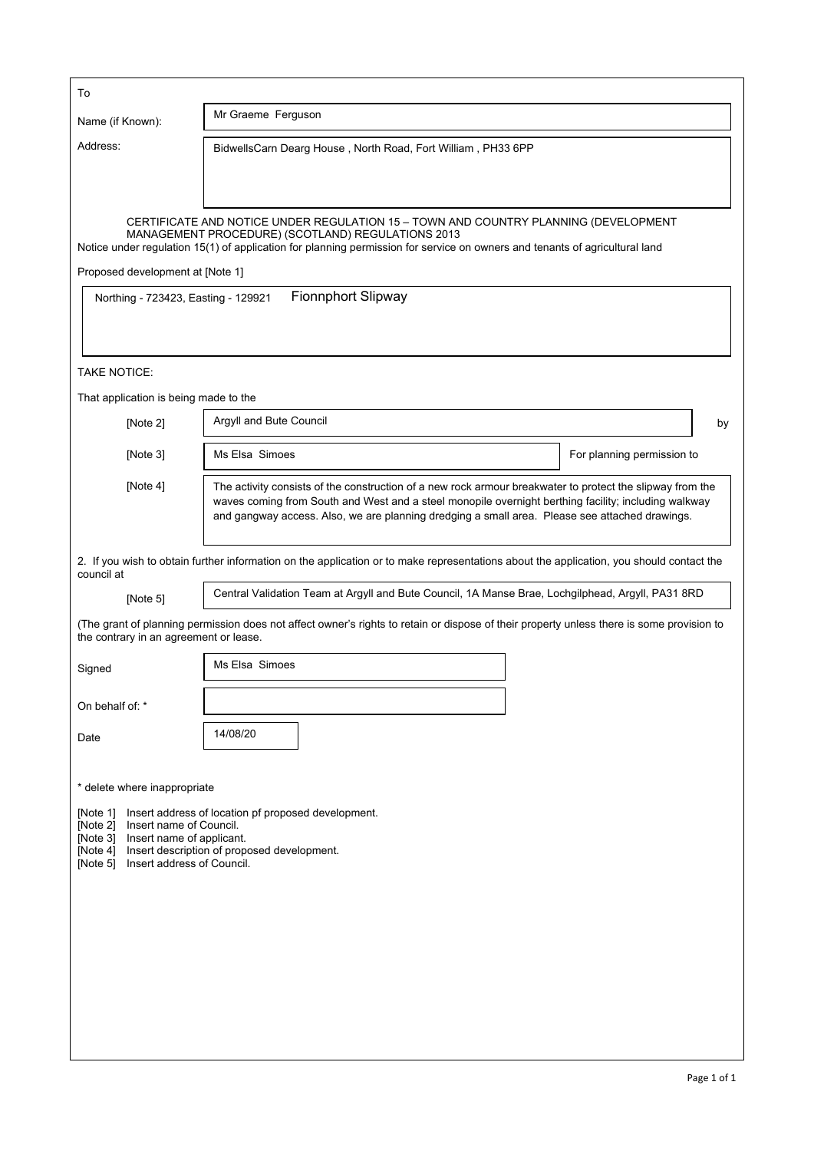| To                                                                                                                                                                                                                                                |                                                                                                                                                                                                                                                                                                                     |                            |  |
|---------------------------------------------------------------------------------------------------------------------------------------------------------------------------------------------------------------------------------------------------|---------------------------------------------------------------------------------------------------------------------------------------------------------------------------------------------------------------------------------------------------------------------------------------------------------------------|----------------------------|--|
| Name (if Known):                                                                                                                                                                                                                                  | Mr Graeme Ferguson                                                                                                                                                                                                                                                                                                  |                            |  |
| Address:                                                                                                                                                                                                                                          | BidwellsCarn Dearg House, North Road, Fort William, PH33 6PP                                                                                                                                                                                                                                                        |                            |  |
|                                                                                                                                                                                                                                                   |                                                                                                                                                                                                                                                                                                                     |                            |  |
|                                                                                                                                                                                                                                                   |                                                                                                                                                                                                                                                                                                                     |                            |  |
|                                                                                                                                                                                                                                                   | CERTIFICATE AND NOTICE UNDER REGULATION 15 - TOWN AND COUNTRY PLANNING (DEVELOPMENT<br>MANAGEMENT PROCEDURE) (SCOTLAND) REGULATIONS 2013<br>Notice under regulation 15(1) of application for planning permission for service on owners and tenants of agricultural land                                             |                            |  |
| Proposed development at [Note 1]                                                                                                                                                                                                                  |                                                                                                                                                                                                                                                                                                                     |                            |  |
| Northing - 723423, Easting - 129921                                                                                                                                                                                                               | <b>Fionnphort Slipway</b>                                                                                                                                                                                                                                                                                           |                            |  |
|                                                                                                                                                                                                                                                   |                                                                                                                                                                                                                                                                                                                     |                            |  |
| <b>TAKE NOTICE:</b>                                                                                                                                                                                                                               |                                                                                                                                                                                                                                                                                                                     |                            |  |
| That application is being made to the                                                                                                                                                                                                             |                                                                                                                                                                                                                                                                                                                     |                            |  |
| [Note 2]                                                                                                                                                                                                                                          | Argyll and Bute Council                                                                                                                                                                                                                                                                                             | by                         |  |
| [Note 3]                                                                                                                                                                                                                                          | Ms Elsa Simoes                                                                                                                                                                                                                                                                                                      | For planning permission to |  |
| [Note $4$ ]                                                                                                                                                                                                                                       | The activity consists of the construction of a new rock armour breakwater to protect the slipway from the<br>waves coming from South and West and a steel monopile overnight berthing facility; including walkway<br>and gangway access. Also, we are planning dredging a small area. Please see attached drawings. |                            |  |
| council at                                                                                                                                                                                                                                        | 2. If you wish to obtain further information on the application or to make representations about the application, you should contact the                                                                                                                                                                            |                            |  |
| [Note 5]                                                                                                                                                                                                                                          | Central Validation Team at Argyll and Bute Council, 1A Manse Brae, Lochgilphead, Argyll, PA31 8RD                                                                                                                                                                                                                   |                            |  |
| the contrary in an agreement or lease.                                                                                                                                                                                                            | (The grant of planning permission does not affect owner's rights to retain or dispose of their property unless there is some provision to                                                                                                                                                                           |                            |  |
| Signed                                                                                                                                                                                                                                            | Ms Elsa Simoes                                                                                                                                                                                                                                                                                                      |                            |  |
| On behalf of: *                                                                                                                                                                                                                                   |                                                                                                                                                                                                                                                                                                                     |                            |  |
| Date                                                                                                                                                                                                                                              | 14/08/20                                                                                                                                                                                                                                                                                                            |                            |  |
|                                                                                                                                                                                                                                                   |                                                                                                                                                                                                                                                                                                                     |                            |  |
| * delete where inappropriate<br>[Note 1]                                                                                                                                                                                                          |                                                                                                                                                                                                                                                                                                                     |                            |  |
| Insert address of location pf proposed development.<br>[Note 2]<br>Insert name of Council.<br>Insert name of applicant.<br>[Note $3$ ]<br>Insert description of proposed development.<br>[Note $4$ ]<br>Insert address of Council.<br>[Note $5$ ] |                                                                                                                                                                                                                                                                                                                     |                            |  |
|                                                                                                                                                                                                                                                   |                                                                                                                                                                                                                                                                                                                     |                            |  |
|                                                                                                                                                                                                                                                   |                                                                                                                                                                                                                                                                                                                     |                            |  |
|                                                                                                                                                                                                                                                   |                                                                                                                                                                                                                                                                                                                     |                            |  |
|                                                                                                                                                                                                                                                   |                                                                                                                                                                                                                                                                                                                     |                            |  |
|                                                                                                                                                                                                                                                   |                                                                                                                                                                                                                                                                                                                     |                            |  |
|                                                                                                                                                                                                                                                   |                                                                                                                                                                                                                                                                                                                     |                            |  |
|                                                                                                                                                                                                                                                   |                                                                                                                                                                                                                                                                                                                     |                            |  |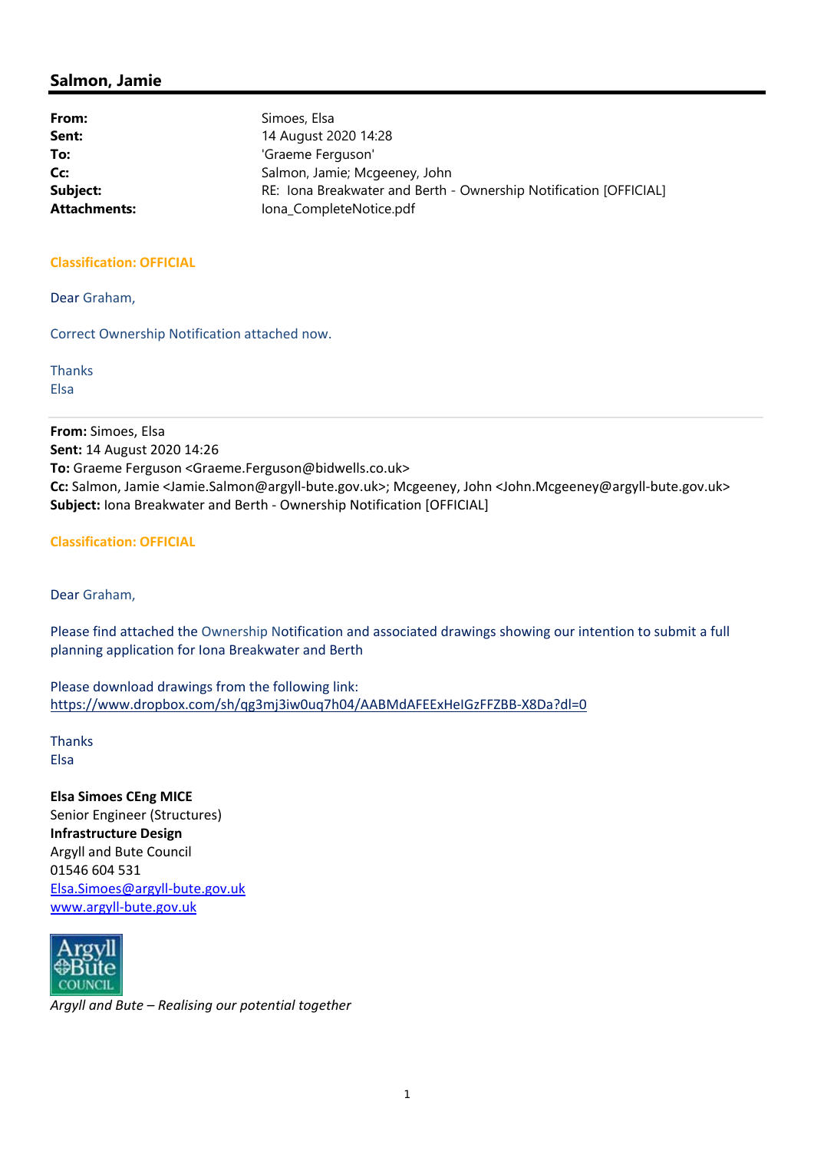| From:               | Simoes, Elsa                                                      |
|---------------------|-------------------------------------------------------------------|
| Sent:               | 14 August 2020 14:28                                              |
| To:                 | 'Graeme Ferguson'                                                 |
| Cc:                 | Salmon, Jamie; Mcgeeney, John                                     |
| Subject:            | RE: Iona Breakwater and Berth - Ownership Notification [OFFICIAL] |
| <b>Attachments:</b> | Iona CompleteNotice.pdf                                           |

### **Classification: OFFICIAL**

Dear Graham,

Correct Ownership Notification attached now.

Thanks Elsa

**From:** Simoes, Elsa **Sent:** 14 August 2020 14:26 **To:** Graeme Ferguson <Graeme.Ferguson@bidwells.co.uk> **Cc:** Salmon, Jamie <Jamie.Salmon@argyll‐bute.gov.uk>; Mcgeeney, John <John.Mcgeeney@argyll‐bute.gov.uk> **Subject:** Iona Breakwater and Berth ‐ Ownership Notification [OFFICIAL]

**Classification: OFFICIAL**

Dear Graham,

Please find attached the Ownership Notification and associated drawings showing our intention to submit a full planning application for Iona Breakwater and Berth

Please download drawings from the following link: https://www.dropbox.com/sh/qg3mj3iw0uq7h04/AABMdAFEExHeIGzFFZBB‐X8Da?dl=0

Thanks Elsa

**Elsa Simoes CEng MICE** Senior Engineer (Structures) **Infrastructure Design** Argyll and Bute Council 01546 604 531 Elsa.Simoes@argyll‐bute.gov.uk www.argyll‐bute.gov.uk



*Argyll and Bute – Realising our potential together*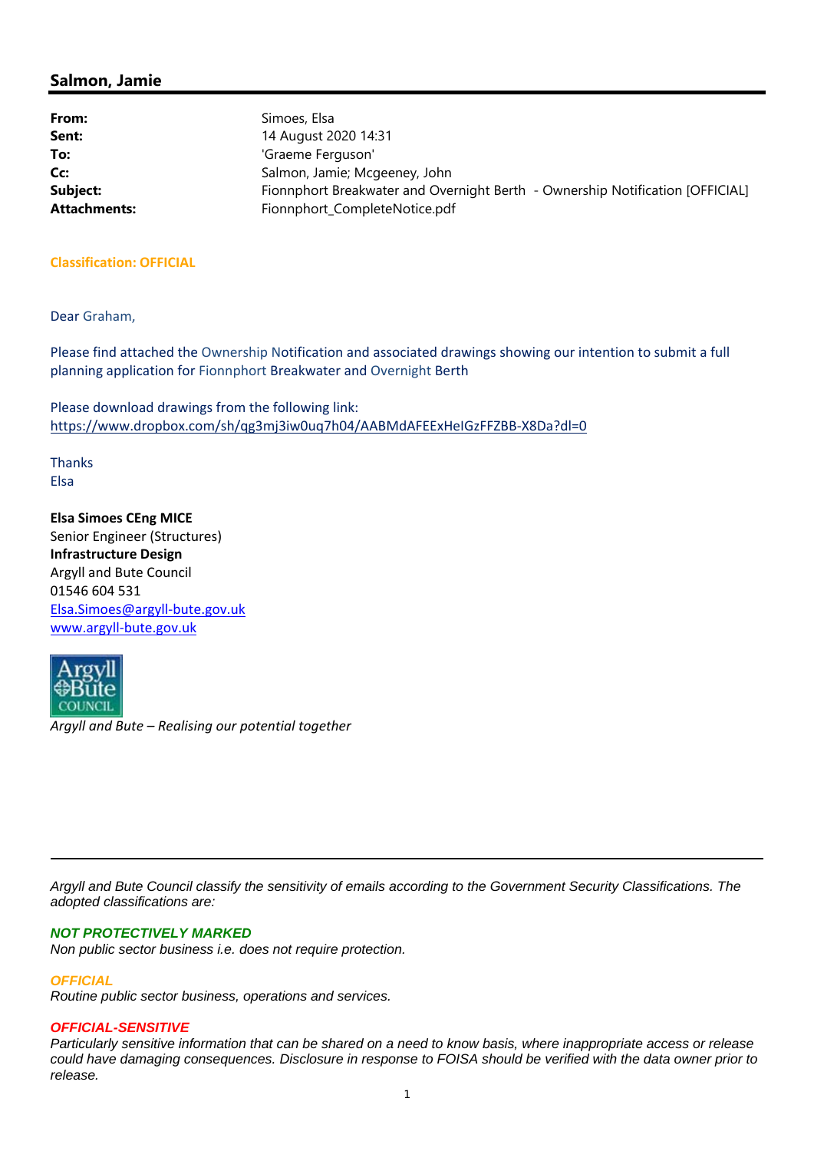| From:               | Simoes, Elsa                                                                  |
|---------------------|-------------------------------------------------------------------------------|
| Sent:               | 14 August 2020 14:31                                                          |
| To:                 | 'Graeme Ferguson'                                                             |
| Cc:                 | Salmon, Jamie; Mcgeeney, John                                                 |
| Subject:            | Fionnphort Breakwater and Overnight Berth - Ownership Notification [OFFICIAL] |
| <b>Attachments:</b> | Fionnphort_CompleteNotice.pdf                                                 |

### **Classification: OFFICIAL**

Dear Graham,

Please find attached the Ownership Notification and associated drawings showing our intention to submit a full planning application for Fionnphort Breakwater and Overnight Berth

Please download drawings from the following link: https://www.dropbox.com/sh/qg3mj3iw0uq7h04/AABMdAFEExHeIGzFFZBB‐X8Da?dl=0

Thanks Elsa

**Elsa Simoes CEng MICE** Senior Engineer (Structures) **Infrastructure Design** Argyll and Bute Council 01546 604 531 Elsa.Simoes@argyll‐bute.gov.uk www.argyll‐bute.gov.uk



*Argyll and Bute – Realising our potential together*

*Argyll and Bute Council classify the sensitivity of emails according to the Government Security Classifications. The adopted classifications are:* 

#### *NOT PROTECTIVELY MARKED*

*Non public sector business i.e. does not require protection.* 

*OFFICIAL*

*Routine public sector business, operations and services.* 

#### *OFFICIAL-SENSITIVE*

*Particularly sensitive information that can be shared on a need to know basis, where inappropriate access or release could have damaging consequences. Disclosure in response to FOISA should be verified with the data owner prior to release.*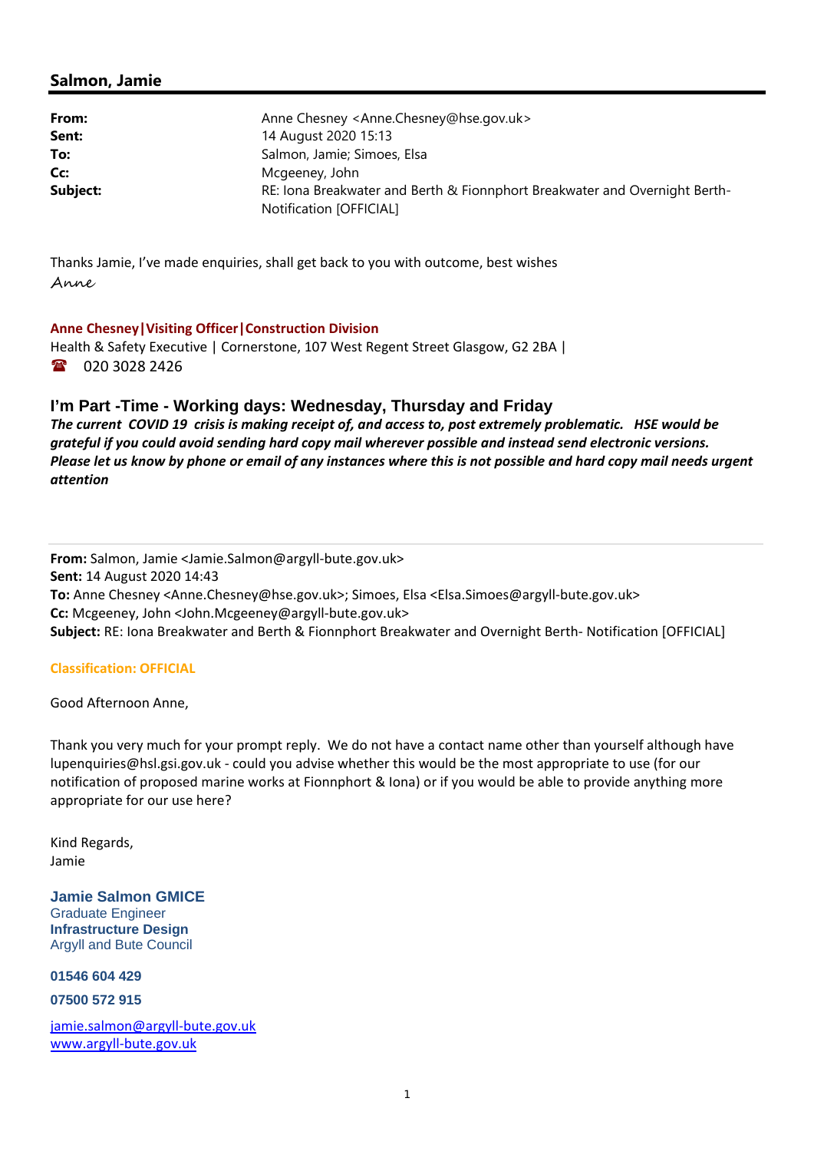| From:    | Anne Chesney <anne.chesney@hse.gov.uk></anne.chesney@hse.gov.uk>                                      |  |  |
|----------|-------------------------------------------------------------------------------------------------------|--|--|
| Sent:    | 14 August 2020 15:13                                                                                  |  |  |
| To:      | Salmon, Jamie; Simoes, Elsa                                                                           |  |  |
| Cc:      | Mcgeeney, John                                                                                        |  |  |
| Subject: | RE: Iona Breakwater and Berth & Fionnphort Breakwater and Overnight Berth-<br>Notification [OFFICIAL] |  |  |

Thanks Jamie, I've made enquiries, shall get back to you with outcome, best wishes Anne

### **Anne Chesney|Visiting Officer|Construction Division**

Health & Safety Executive | Cornerstone, 107 West Regent Street Glasgow, G2 2BA | 18 020 3028 2426

## **I'm Part -Time - Working days: Wednesday, Thursday and Friday**

The current COVID 19 crisis is making receipt of, and access to, post extremely problematic. HSE would be *grateful if you could avoid sending hard copy mail wherever possible and instead send electronic versions.* Please let us know by phone or email of any instances where this is not possible and hard copy mail needs urgent *attention*

**From:** Salmon, Jamie <Jamie.Salmon@argyll‐bute.gov.uk> **Sent:** 14 August 2020 14:43 **To:** Anne Chesney <Anne.Chesney@hse.gov.uk>; Simoes, Elsa <Elsa.Simoes@argyll‐bute.gov.uk> **Cc:** Mcgeeney, John <John.Mcgeeney@argyll‐bute.gov.uk> **Subject:** RE: Iona Breakwater and Berth & Fionnphort Breakwater and Overnight Berth‐ Notification [OFFICIAL]

### **Classification: OFFICIAL**

Good Afternoon Anne,

Thank you very much for your prompt reply. We do not have a contact name other than yourself although have lupenquiries@hsl.gsi.gov.uk ‐ could you advise whether this would be the most appropriate to use (for our notification of proposed marine works at Fionnphort & Iona) or if you would be able to provide anything more appropriate for our use here?

Kind Regards, Jamie

**Jamie Salmon GMICE**  Graduate Engineer **Infrastructure Design**  Argyll and Bute Council

**01546 604 429** 

**07500 572 915** 

jamie.salmon@argyll‐bute.gov.uk www.argyll‐bute.gov.uk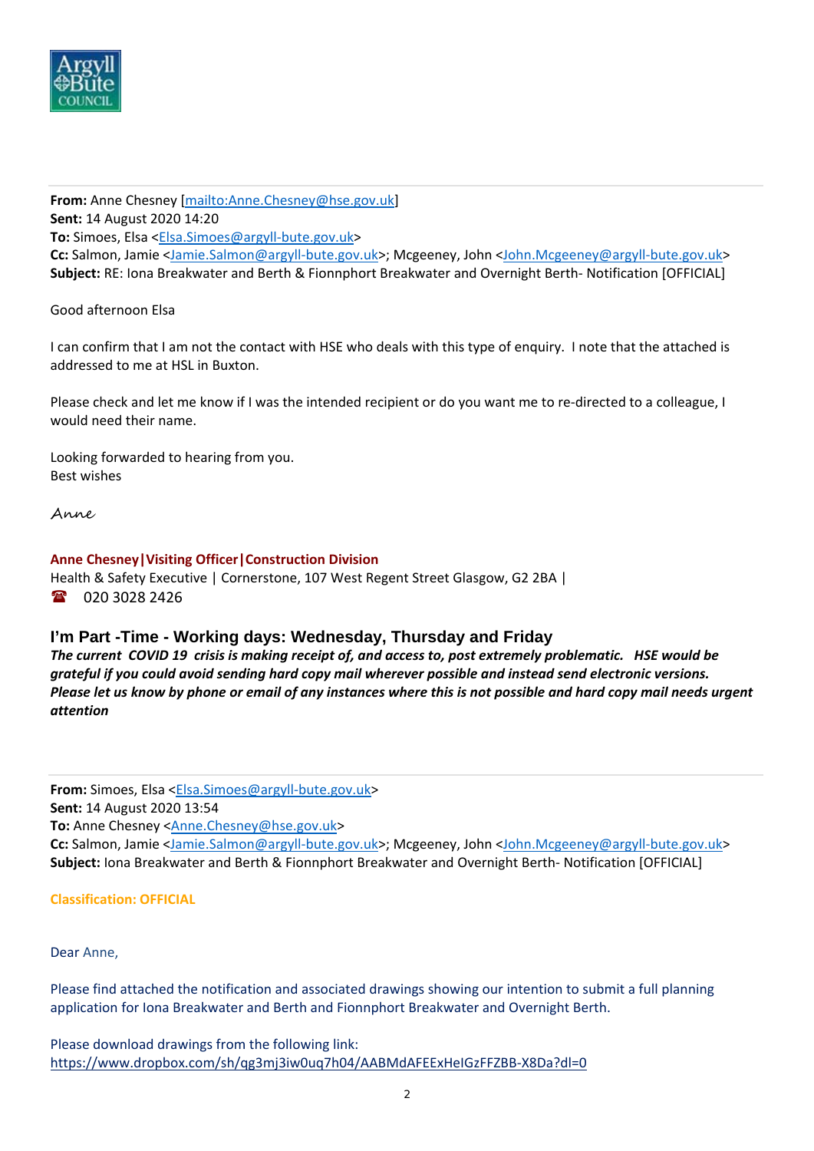

**From:** Anne Chesney [mailto:Anne.Chesney@hse.gov.uk] **Sent:** 14 August 2020 14:20 **To:** Simoes, Elsa <Elsa.Simoes@argyll‐bute.gov.uk> **Cc:** Salmon, Jamie <Jamie.Salmon@argyll‐bute.gov.uk>; Mcgeeney, John <John.Mcgeeney@argyll‐bute.gov.uk> **Subject:** RE: Iona Breakwater and Berth & Fionnphort Breakwater and Overnight Berth‐ Notification [OFFICIAL]

Good afternoon Elsa

I can confirm that I am not the contact with HSE who deals with this type of enquiry. I note that the attached is addressed to me at HSL in Buxton.

Please check and let me know if I was the intended recipient or do you want me to re‐directed to a colleague, I would need their name.

Looking forwarded to hearing from you. Best wishes

Anne

## **Anne Chesney|Visiting Officer|Construction Division**

Health & Safety Executive | Cornerstone, 107 West Regent Street Glasgow, G2 2BA | 1 020 3028 2426

## **I'm Part -Time - Working days: Wednesday, Thursday and Friday**

The current COVID 19 crisis is making receipt of, and access to, post extremely problematic. HSE would be *grateful if you could avoid sending hard copy mail wherever possible and instead send electronic versions.* Please let us know by phone or email of any instances where this is not possible and hard copy mail needs urgent *attention*

**From:** Simoes, Elsa <Elsa.Simoes@argyll‐bute.gov.uk> **Sent:** 14 August 2020 13:54 To: Anne Chesney <Anne.Chesney@hse.gov.uk> **Cc:** Salmon, Jamie <Jamie.Salmon@argyll‐bute.gov.uk>; Mcgeeney, John <John.Mcgeeney@argyll‐bute.gov.uk> **Subject:** Iona Breakwater and Berth & Fionnphort Breakwater and Overnight Berth‐ Notification [OFFICIAL]

**Classification: OFFICIAL**

Dear Anne,

Please find attached the notification and associated drawings showing our intention to submit a full planning application for Iona Breakwater and Berth and Fionnphort Breakwater and Overnight Berth.

Please download drawings from the following link: https://www.dropbox.com/sh/qg3mj3iw0uq7h04/AABMdAFEExHeIGzFFZBB‐X8Da?dl=0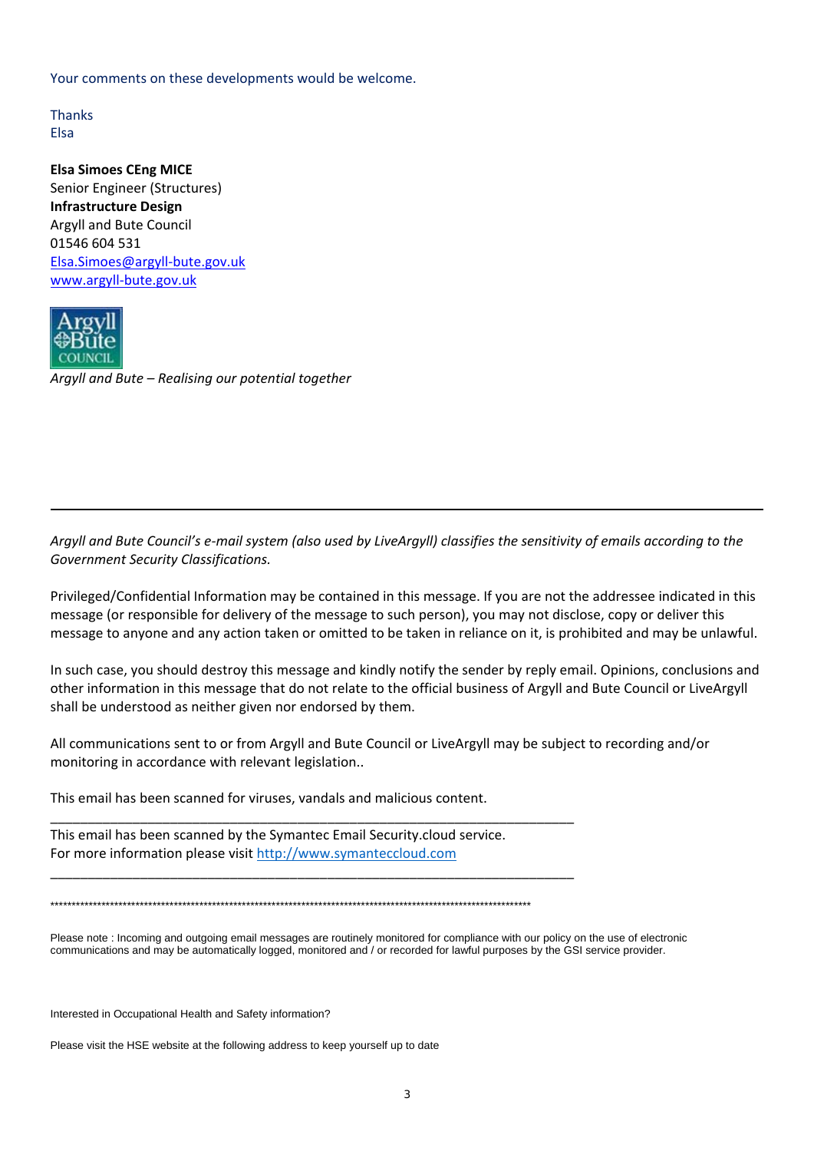Your comments on these developments would be welcome.

**Thanks** Elsa

**Elsa Simoes CEng MICE** Senior Engineer (Structures) **Infrastructure Design** Argyll and Bute Council 01546 604 531 Elsa.Simoes@argyll‐bute.gov.uk www.argyll‐bute.gov.uk



*Argyll and Bute – Realising our potential together*

Argyll and Bute Council's e-mail system (also used by LiveArgyll) classifies the sensitivity of emails according to the *Government Security Classifications.*

Privileged/Confidential Information may be contained in this message. If you are not the addressee indicated in this message (or responsible for delivery of the message to such person), you may not disclose, copy or deliver this message to anyone and any action taken or omitted to be taken in reliance on it, is prohibited and may be unlawful.

In such case, you should destroy this message and kindly notify the sender by reply email. Opinions, conclusions and other information in this message that do not relate to the official business of Argyll and Bute Council or LiveArgyll shall be understood as neither given nor endorsed by them.

All communications sent to or from Argyll and Bute Council or LiveArgyll may be subject to recording and/or monitoring in accordance with relevant legislation..

This email has been scanned for viruses, vandals and malicious content.

This email has been scanned by the Symantec Email Security.cloud service. For more information please visit http://www.symanteccloud.com

\_\_\_\_\_\_\_\_\_\_\_\_\_\_\_\_\_\_\_\_\_\_\_\_\_\_\_\_\_\_\_\_\_\_\_\_\_\_\_\_\_\_\_\_\_\_\_\_\_\_\_\_\_\_\_\_\_\_\_\_\_\_\_\_\_\_\_\_\_\_

\_\_\_\_\_\_\_\_\_\_\_\_\_\_\_\_\_\_\_\_\_\_\_\_\_\_\_\_\_\_\_\_\_\_\_\_\_\_\_\_\_\_\_\_\_\_\_\_\_\_\_\_\_\_\_\_\_\_\_\_\_\_\_\_\_\_\_\_\_\_

\*\*\*\*\*\*\*\*\*\*\*\*\*\*\*\*\*\*\*\*\*\*\*\*\*\*\*\*\*\*\*\*\*\*\*\*\*\*\*\*\*\*\*\*\*\*\*\*\*\*\*\*\*\*\*\*\*\*\*\*\*\*\*\*\*\*\*\*\*\*\*\*\*\*\*\*\*\*\*\*\*\*\*\*\*\*\*\*\*\*\*\*\*\*\*\*\*\*\*\*\*\*\*\*\*\*\*\*\*\*\*\*\*

Please note : Incoming and outgoing email messages are routinely monitored for compliance with our policy on the use of electronic communications and may be automatically logged, monitored and / or recorded for lawful purposes by the GSI service provider.

Interested in Occupational Health and Safety information?

Please visit the HSE website at the following address to keep yourself up to date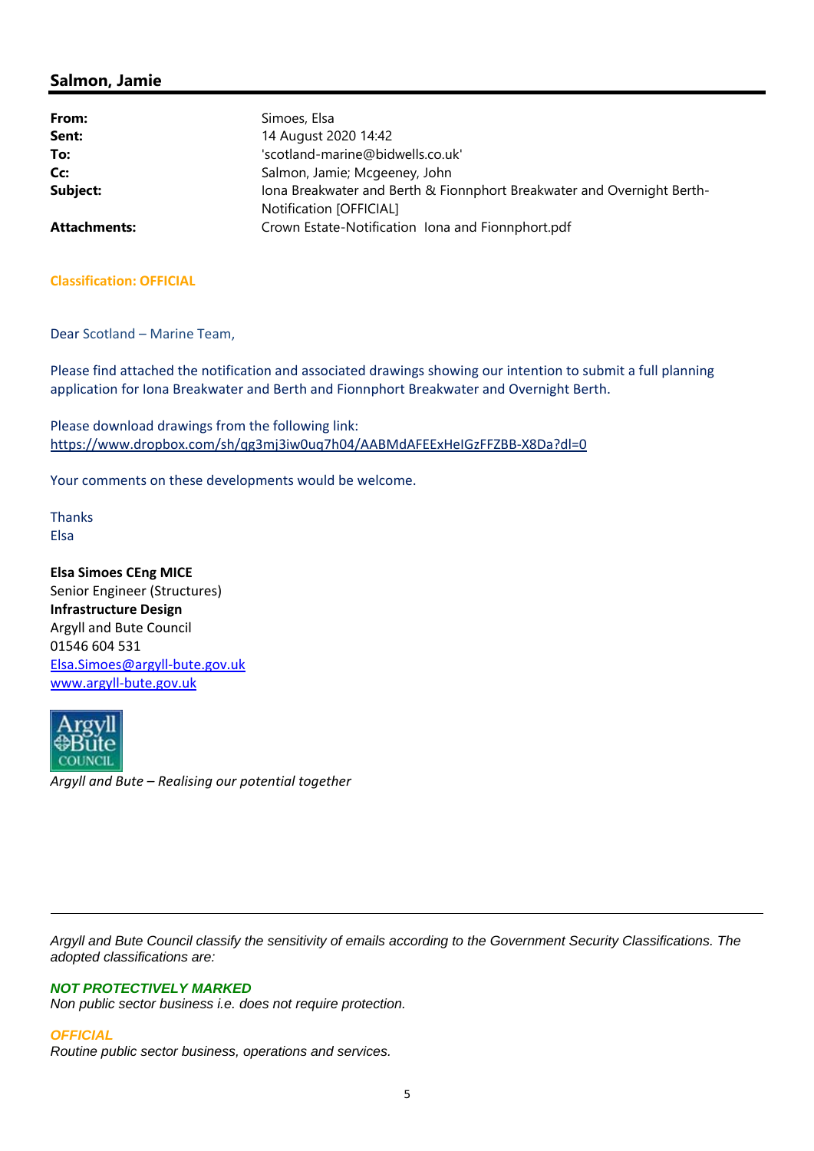| From:               | Simoes, Elsa                                                           |
|---------------------|------------------------------------------------------------------------|
| Sent:               | 14 August 2020 14:42                                                   |
| To:                 | 'scotland-marine@bidwells.co.uk'                                       |
| Cc:                 | Salmon, Jamie; Mcgeeney, John                                          |
| Subject:            | Iona Breakwater and Berth & Fionnphort Breakwater and Overnight Berth- |
|                     | Notification [OFFICIAL]                                                |
| <b>Attachments:</b> | Crown Estate-Notification Iona and Fionnphort.pdf                      |

### **Classification: OFFICIAL**

Dear Scotland – Marine Team,

Please find attached the notification and associated drawings showing our intention to submit a full planning application for Iona Breakwater and Berth and Fionnphort Breakwater and Overnight Berth.

Please download drawings from the following link: https://www.dropbox.com/sh/qg3mj3iw0uq7h04/AABMdAFEExHeIGzFFZBB‐X8Da?dl=0

Your comments on these developments would be welcome.

Thanks Elsa

**Elsa Simoes CEng MICE** Senior Engineer (Structures) **Infrastructure Design** Argyll and Bute Council 01546 604 531 Elsa.Simoes@argyll‐bute.gov.uk www.argyll‐bute.gov.uk



*Argyll and Bute Council classify the sensitivity of emails according to the Government Security Classifications. The adopted classifications are:* 

#### *NOT PROTECTIVELY MARKED*

*Non public sector business i.e. does not require protection.* 

#### *OFFICIAL*

*Routine public sector business, operations and services.*